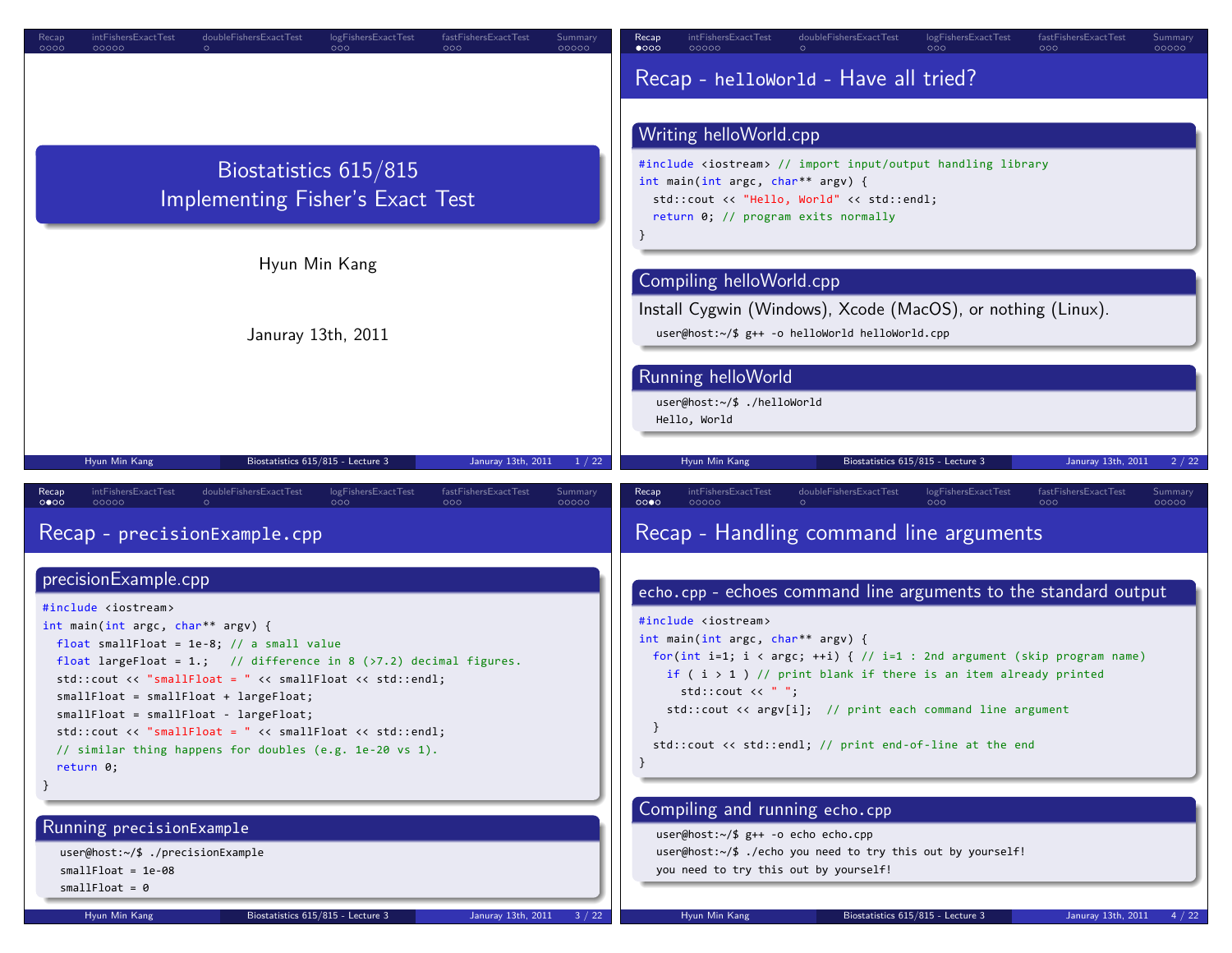| 000C<br>00000<br>000<br>00000<br>000                                                                                                                                                                                                                                                                                                                                                                                                                                                                                                                                                               | $\bullet$ 000<br>00000<br>00000                                                                                                                                                                                                                                                                                                                                                                                                                                                                                                    |  |
|----------------------------------------------------------------------------------------------------------------------------------------------------------------------------------------------------------------------------------------------------------------------------------------------------------------------------------------------------------------------------------------------------------------------------------------------------------------------------------------------------------------------------------------------------------------------------------------------------|------------------------------------------------------------------------------------------------------------------------------------------------------------------------------------------------------------------------------------------------------------------------------------------------------------------------------------------------------------------------------------------------------------------------------------------------------------------------------------------------------------------------------------|--|
|                                                                                                                                                                                                                                                                                                                                                                                                                                                                                                                                                                                                    | Recap - helloWorld - Have all tried?                                                                                                                                                                                                                                                                                                                                                                                                                                                                                               |  |
|                                                                                                                                                                                                                                                                                                                                                                                                                                                                                                                                                                                                    | Writing helloWorld.cpp                                                                                                                                                                                                                                                                                                                                                                                                                                                                                                             |  |
| Biostatistics 615/815<br>Implementing Fisher's Exact Test                                                                                                                                                                                                                                                                                                                                                                                                                                                                                                                                          | #include <iostream> // import input/output handling library<br/>int main(int argc, char** argv) {<br/>std::cout &lt;&lt; "Hello, World" &lt;&lt; std::endl;<br/>return 0; // program exits normally</iostream>                                                                                                                                                                                                                                                                                                                     |  |
| Hyun Min Kang                                                                                                                                                                                                                                                                                                                                                                                                                                                                                                                                                                                      | Compiling helloWorld.cpp                                                                                                                                                                                                                                                                                                                                                                                                                                                                                                           |  |
| Januray 13th, 2011                                                                                                                                                                                                                                                                                                                                                                                                                                                                                                                                                                                 | Install Cygwin (Windows), Xcode (MacOS), or nothing (Linux).<br>user@host:~/\$ g++ -o helloWorld helloWorld.cpp                                                                                                                                                                                                                                                                                                                                                                                                                    |  |
|                                                                                                                                                                                                                                                                                                                                                                                                                                                                                                                                                                                                    | Running helloWorld<br>user@host:~/\$ ./helloWorld<br>Hello, World                                                                                                                                                                                                                                                                                                                                                                                                                                                                  |  |
| Biostatistics 615/815 - Lecture 3<br>Januray 13th, 2011<br>Hyun Min Kang<br>1/22                                                                                                                                                                                                                                                                                                                                                                                                                                                                                                                   | Biostatistics 615/815 - Lecture 3<br>Hyun Min Kang<br>Januray 13th, 2011<br>2/22                                                                                                                                                                                                                                                                                                                                                                                                                                                   |  |
|                                                                                                                                                                                                                                                                                                                                                                                                                                                                                                                                                                                                    |                                                                                                                                                                                                                                                                                                                                                                                                                                                                                                                                    |  |
| doubleFishersExactTest<br>logFishersExactTest<br>fastFishersExactTest<br>Recap<br>intFishersExactTest<br><b>Summary</b><br>0000<br>00000<br>000<br>000<br>00000                                                                                                                                                                                                                                                                                                                                                                                                                                    | intFishersExactTest<br>doubleFishersExactTest<br>logFishersExactTest<br>fastFishersExactTest<br>Recap<br>Summary<br>0000<br>000<br>00000<br>റററ<br>0000C                                                                                                                                                                                                                                                                                                                                                                           |  |
| Recap - precisionExample.cpp                                                                                                                                                                                                                                                                                                                                                                                                                                                                                                                                                                       | Recap - Handling command line arguments                                                                                                                                                                                                                                                                                                                                                                                                                                                                                            |  |
| precisionExample.cpp<br>#include <iostream><br/>int main(int argc, char** argv) {<br/>float smallFloat = <math>1e-8</math>; // a small value<br/>float largeFloat = 1.; // difference in 8 <math>(</math> &gt;7.2) decimal figures.<br/><math>std::count \le</math> "smallFloat = "<math>\lt</math> smallFloat <math>\lt</math> std::endl;<br/>smallFloat = smallFloat + largeFloat;<br/>smallFloat = smallFloat - largeFloat;<br/>std::cout &lt;&lt; "smallFloat = " &lt;&lt; smallFloat &lt;&lt; std::endl;<br/>// similar thing happens for doubles (e.g. 1e-20 vs 1).<br/>return 0;</iostream> | echo.cpp - echoes command line arguments to the standard output<br>#include <iostream><br/>int main(int argc, char** argv) {<br/>for(int i=1; i &lt; argc; ++i) { <math>//</math> i=1 : 2nd argument (skip program name)<br/>if <math>(i &gt; 1)</math> // print blank if there is an item already printed<br/>std::count &lt;&lt; "<br/><math>std::count \leq argv[i];</math> // print each command line argument<br/>std::cout &lt;&lt; std::endl; // print end-of-line at the end<br/>Compiling and running echo.cpp</iostream> |  |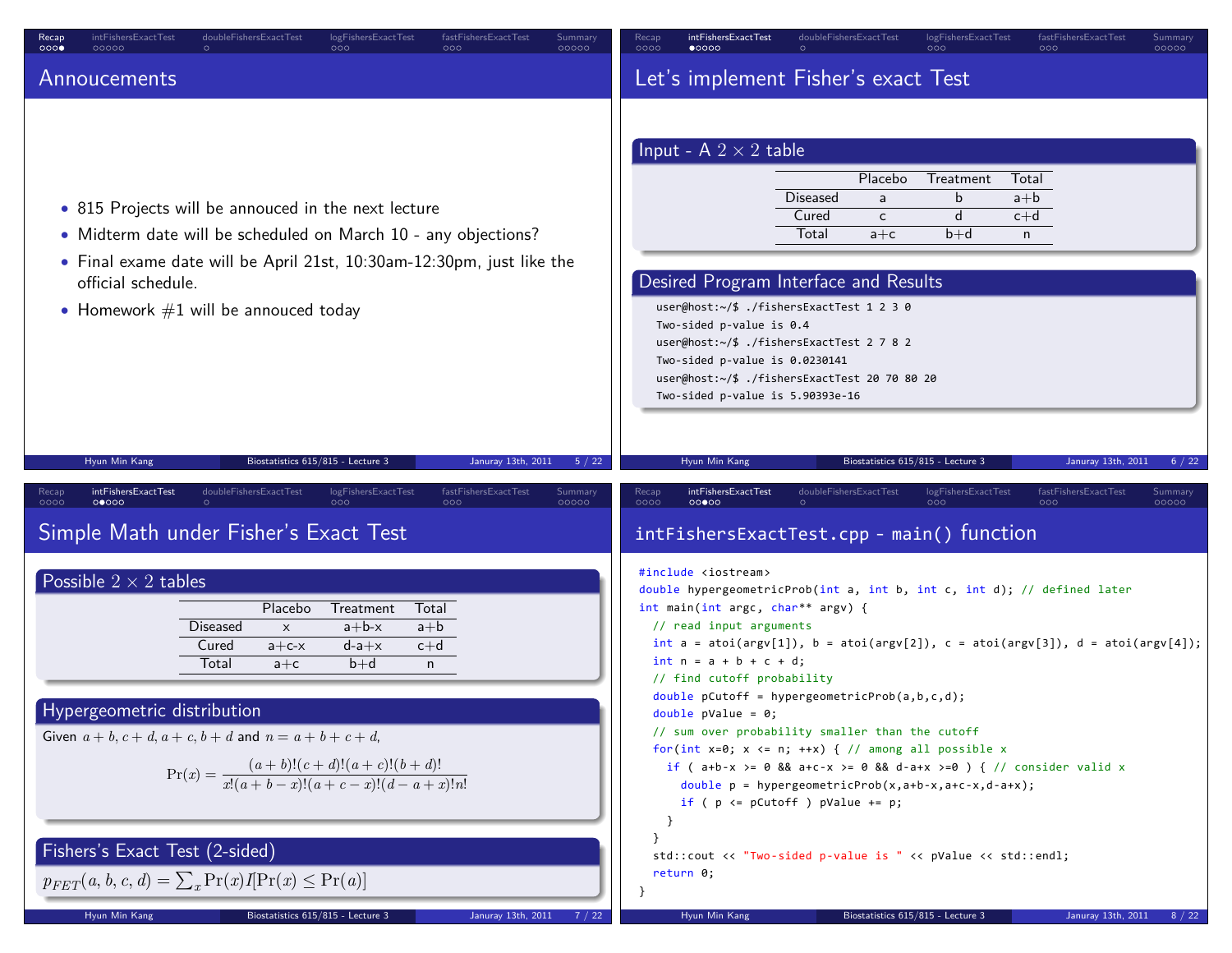| intFishersExactTest<br>doubleFishersExactTest<br>logFishersExactTest<br>fastFishersExactTest<br>Summary<br>Recap<br>000<br>00000<br>00000<br>000<br>000                                                                                                                                                                                                                                     | intFishersExactTest<br>doubleFishersExactTest<br>logFishersExactTest<br>fastFishersExactTest<br>Summary<br>Recap<br>0000<br>00000<br>$\bullet$ 0000<br>000                                                                                                                                                                                                                                                                                                                                                                                                                                                                                                                                                                     |
|---------------------------------------------------------------------------------------------------------------------------------------------------------------------------------------------------------------------------------------------------------------------------------------------------------------------------------------------------------------------------------------------|--------------------------------------------------------------------------------------------------------------------------------------------------------------------------------------------------------------------------------------------------------------------------------------------------------------------------------------------------------------------------------------------------------------------------------------------------------------------------------------------------------------------------------------------------------------------------------------------------------------------------------------------------------------------------------------------------------------------------------|
| Annoucements                                                                                                                                                                                                                                                                                                                                                                                | Let's implement Fisher's exact Test                                                                                                                                                                                                                                                                                                                                                                                                                                                                                                                                                                                                                                                                                            |
| • 815 Projects will be annouced in the next lecture<br>• Midterm date will be scheduled on March 10 - any objections?<br>• Final exame date will be April 21st, 10:30am-12:30pm, just like the<br>official schedule.<br>• Homework $#1$ will be annouced today                                                                                                                              | Input - A $2 \times 2$ table<br>Placebo<br>Treatment<br>Total<br><b>Diseased</b><br>b<br>$a+b$<br>a<br>d<br>$c+d$<br>Cured<br>c<br>Total<br>$b+d$<br>$a + c$<br>n<br>Desired Program Interface and Results<br>user@host:~/\$ ./fishersExactTest 1 2 3 0<br>Two-sided p-value is 0.4<br>user@host: $\sim$ /\$ ./fishersExactTest 2 7 8 2<br>Two-sided p-value is 0.0230141<br>user@host:~/\$ ./fishersExactTest 20 70 80 20<br>Two-sided p-value is 5.90393e-16                                                                                                                                                                                                                                                                 |
| Hyun Min Kang<br>Biostatistics 615/815 - Lecture 3<br>Januray 13th, 2011<br>5 / 22                                                                                                                                                                                                                                                                                                          | Hyun Min Kang<br>Biostatistics 615/815 - Lecture 3<br>Januray 13th, 2011<br>6 / 22                                                                                                                                                                                                                                                                                                                                                                                                                                                                                                                                                                                                                                             |
| intFishersExactTest<br>doubleFishersExactTest<br>logFishersExactTest<br>fastFishersExactTest<br>Summary<br>Recap<br>0000<br>00000<br>000<br>00000<br>റററ<br>Simple Math under Fisher's Exact Test                                                                                                                                                                                           | intFishersExactTest<br>doubleFishersExactTest<br>logFishersExactTest<br>fastFishersExactTest<br>Recap<br>Summary<br>0000<br>000<br>00000<br>റററ<br>00000<br>intFishersExactTest.cpp - main() function                                                                                                                                                                                                                                                                                                                                                                                                                                                                                                                          |
| Possible $2 \times 2$ tables<br>Placebo<br>Treatment<br>Total<br>Diseased<br>$a+b-x$<br>$a+b$<br>$\boldsymbol{\mathsf{x}}$<br>Cured<br>$c+d$<br>$d-a+x$<br>$a + c - x$<br>Total<br>$b+d$<br>$a + c$<br>n<br>Hypergeometric distribution<br>Given $a + b$ , $c + d$ , $a + c$ , $b + d$ and $n = a + b + c + d$ ,<br>$Pr(x) = \frac{(a+b)!(c+d)!(a+c)!(b+d)!}{x!(a+b-x)!(a+c-x)!(d-a+x)!n!}$ | #include <iostream><br/>double hypergeometricProb(int a, int b, int c, int d); // defined later<br/>int main(int argc, char** argv) {<br/>// read input arguments<br/>int <math>a = \text{atoi(ary[1]), } b = \text{atoi(ary[2]), } c = \text{atoi(ary[3]), } d = \text{atoi(ary[4]);}</math><br/><math>int n = a + b + c + d;</math><br/>// find cutoff probability<br/>double <math>pCutoff = hypergeometricProb(a, b, c, d);</math><br/><math>double</math> pValue = 0;<br/>// sum over probability smaller than the cutoff<br/>for(int x=0; x &lt;= n; ++x) { // among all possible x<br/>if ( <math>a+b-x</math> &gt;= 0 &amp;&amp; <math>a+c-x</math> &gt;= 0 &amp;&amp; d-a+x &gt;=0 ) { // consider valid x</iostream> |
| <b>Fishers's Exact Test (2-sided)</b><br>$p_{FFT}(a, b, c, d) = \sum_{x} \Pr(x) I[\Pr(x) \leq \Pr(a)]$<br>Hyun Min Kang<br>Biostatistics 615/815 - Lecture 3<br>Januray 13th, 2011<br>7/22                                                                                                                                                                                                  | double $p = hypergeometricProb(x, a+b-x, a+c-x, d-a+x);$<br>if ( $p \leq p$ Cutoff ) $p$ Value += $p$ ;<br>$\mathcal{F}$<br>std::cout << "Two-sided p-value is " << pValue << std::endl;<br>return 0;<br>Hyun Min Kang<br>Biostatistics 615/815 - Lecture 3<br>Januray 13th, 2011<br>8 / 22                                                                                                                                                                                                                                                                                                                                                                                                                                    |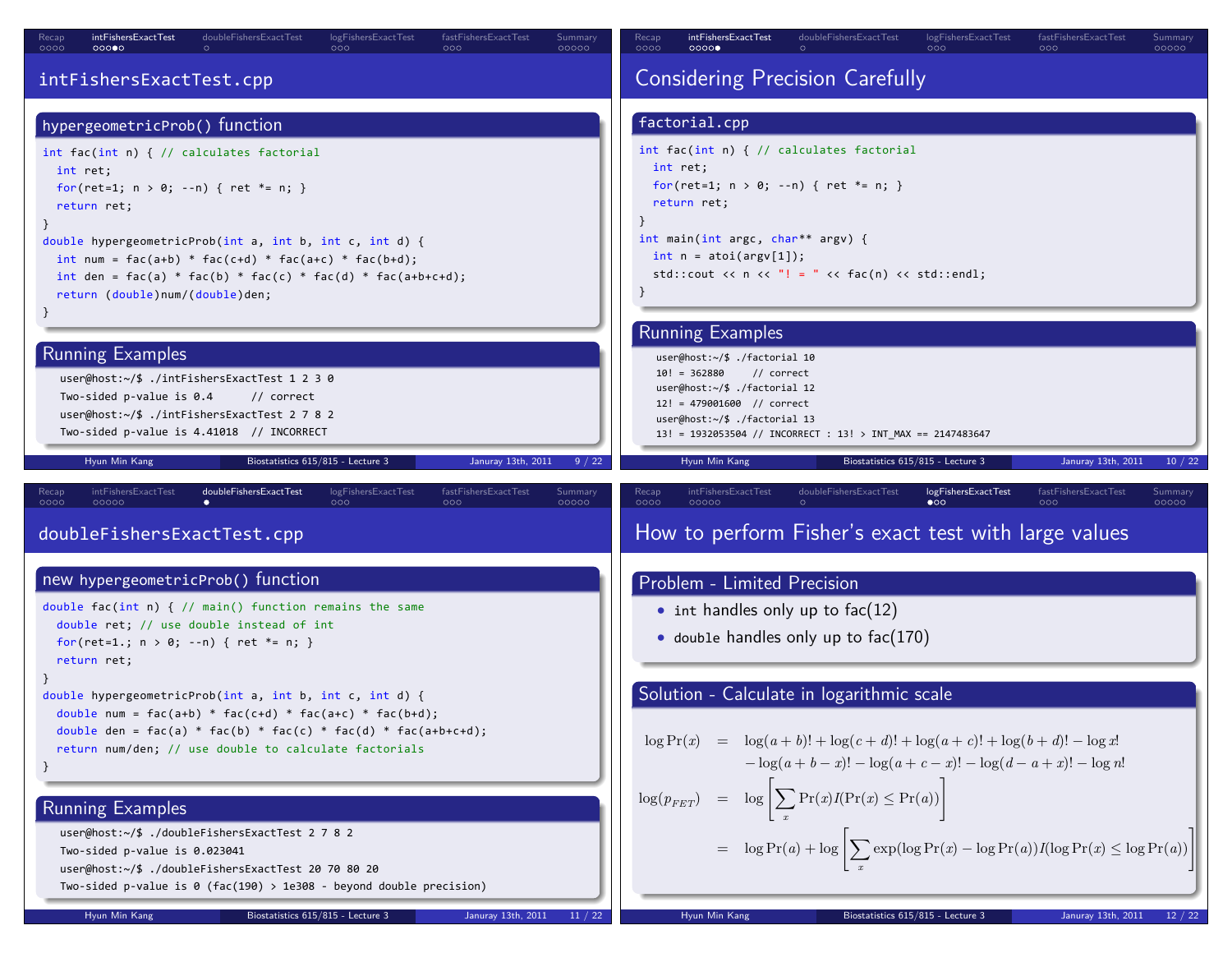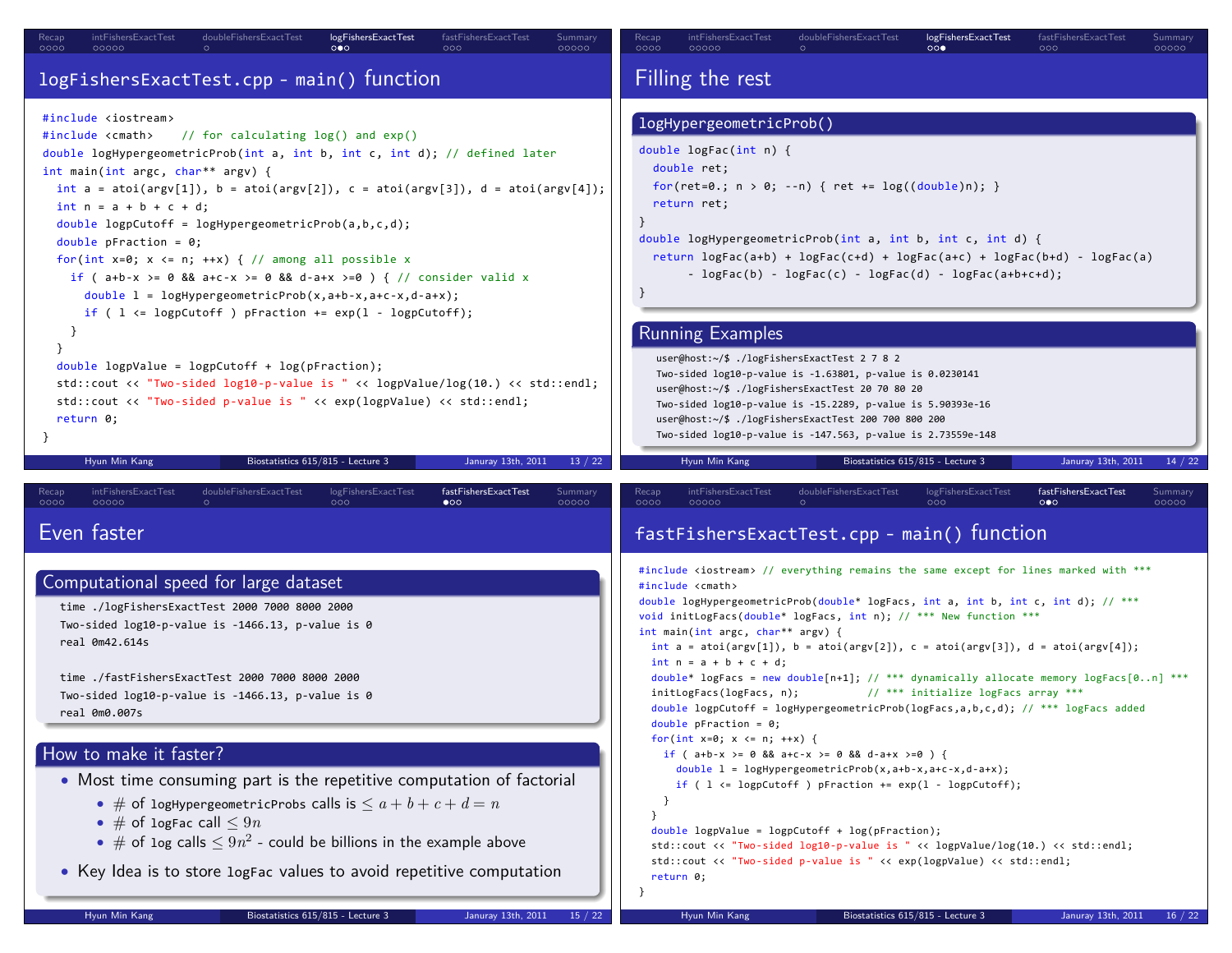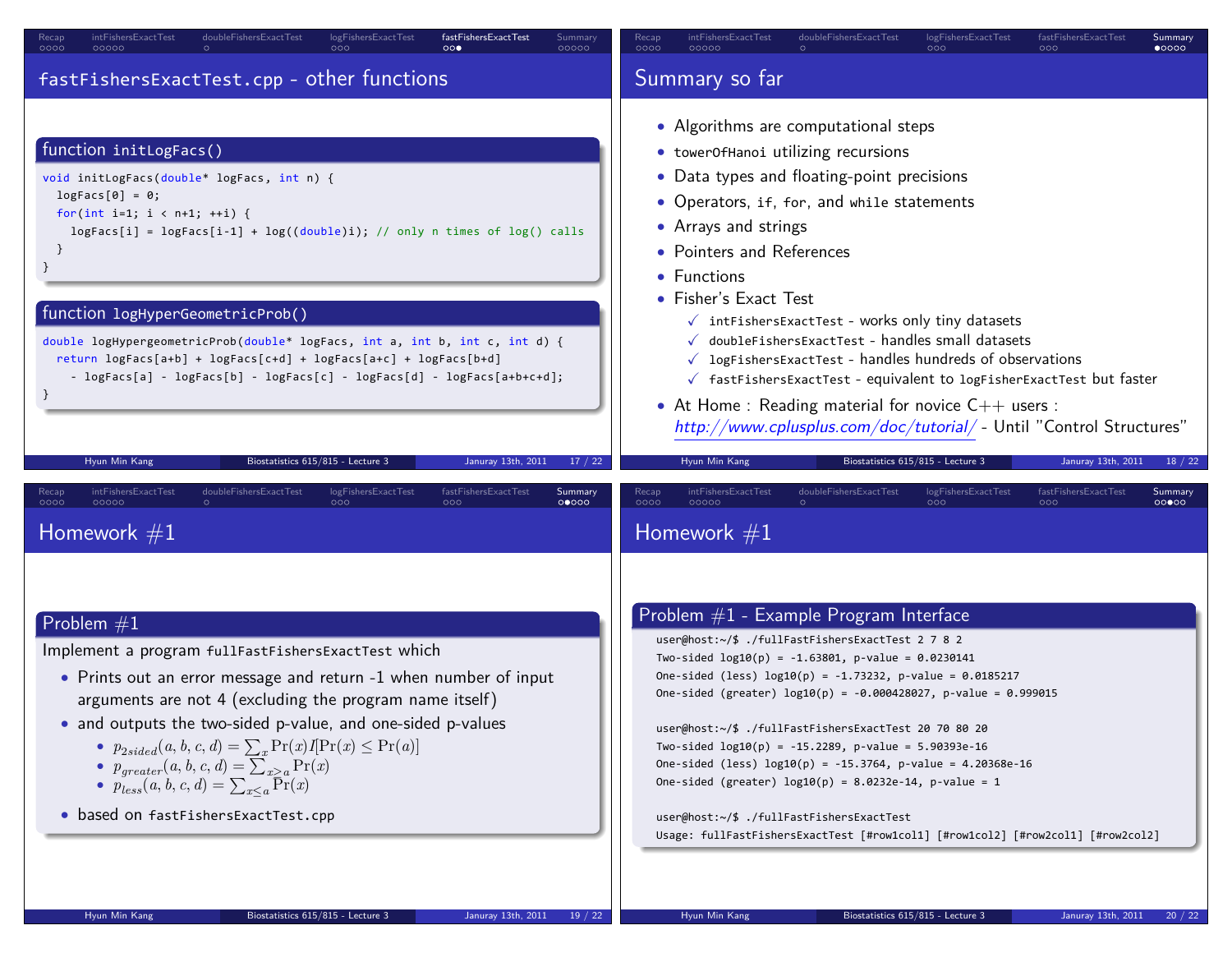| intFishersExactTest                                                                                                                                                                                                                                                                                                                                                                                                                                                                         | intFishersExactTest                                                                                                                                                                                                                                                                                                                                                                                                                                                                                                                                                                                                                                                                        |  |  |
|---------------------------------------------------------------------------------------------------------------------------------------------------------------------------------------------------------------------------------------------------------------------------------------------------------------------------------------------------------------------------------------------------------------------------------------------------------------------------------------------|--------------------------------------------------------------------------------------------------------------------------------------------------------------------------------------------------------------------------------------------------------------------------------------------------------------------------------------------------------------------------------------------------------------------------------------------------------------------------------------------------------------------------------------------------------------------------------------------------------------------------------------------------------------------------------------------|--|--|
| doubleFishersExactTest                                                                                                                                                                                                                                                                                                                                                                                                                                                                      | doubleFishersExactTest                                                                                                                                                                                                                                                                                                                                                                                                                                                                                                                                                                                                                                                                     |  |  |
| logFishersExactTest                                                                                                                                                                                                                                                                                                                                                                                                                                                                         | logFishersExactTest                                                                                                                                                                                                                                                                                                                                                                                                                                                                                                                                                                                                                                                                        |  |  |
| fastFishersExactTest                                                                                                                                                                                                                                                                                                                                                                                                                                                                        | fastFishersExactTest                                                                                                                                                                                                                                                                                                                                                                                                                                                                                                                                                                                                                                                                       |  |  |
| Recap                                                                                                                                                                                                                                                                                                                                                                                                                                                                                       | Summary                                                                                                                                                                                                                                                                                                                                                                                                                                                                                                                                                                                                                                                                                    |  |  |
| Summarv                                                                                                                                                                                                                                                                                                                                                                                                                                                                                     | Recap                                                                                                                                                                                                                                                                                                                                                                                                                                                                                                                                                                                                                                                                                      |  |  |
| 0000                                                                                                                                                                                                                                                                                                                                                                                                                                                                                        | 0000                                                                                                                                                                                                                                                                                                                                                                                                                                                                                                                                                                                                                                                                                       |  |  |
| $\circ \circ \bullet$                                                                                                                                                                                                                                                                                                                                                                                                                                                                       | 000                                                                                                                                                                                                                                                                                                                                                                                                                                                                                                                                                                                                                                                                                        |  |  |
| 00000                                                                                                                                                                                                                                                                                                                                                                                                                                                                                       | $\bullet$ 0000                                                                                                                                                                                                                                                                                                                                                                                                                                                                                                                                                                                                                                                                             |  |  |
| 00000                                                                                                                                                                                                                                                                                                                                                                                                                                                                                       | 000                                                                                                                                                                                                                                                                                                                                                                                                                                                                                                                                                                                                                                                                                        |  |  |
| fastFishersExactTest.cpp - other functions                                                                                                                                                                                                                                                                                                                                                                                                                                                  | Summary so far                                                                                                                                                                                                                                                                                                                                                                                                                                                                                                                                                                                                                                                                             |  |  |
| function initLogFacs()<br>void initLogFacs(double* logFacs, int n) {<br>$logFacs[0] = 0;$<br>for(int i=1; $i < n+1$ ; ++i) {<br>$logFacs[i] = logFacs[i-1] + log((double)i); // only n times of log() calls$<br>}<br>function logHyperGeometricProb()<br>double logHypergeometricProb(double* logFacs, int a, int b, int c, int d) {<br>return logFacs[a+b] + logFacs[c+d] + logFacs[a+c] + logFacs[b+d]<br>- logFacs[a] - logFacs[b] - logFacs[c] - logFacs[d] - logFacs[a+b+c+d];         | • Algorithms are computational steps<br>• towerOfHanoi utilizing recursions<br>• Data types and floating-point precisions<br>• Operators, if, for, and while statements<br>• Arrays and strings<br>• Pointers and References<br>• Functions<br>• Fisher's Exact Test<br>$\checkmark$ intFishersExactTest - works only tiny datasets<br>√ doubleFishersExactTest - handles small datasets<br>$\sqrt{\phantom{a}}$ logFishersExactTest - handles hundreds of observations<br>$\checkmark$ fastFishersExactTest - equivalent to logFisherExactTest but faster<br>• At Home : Reading material for novice $C++$ users :<br>http://www.cplusplus.com/doc/tutorial/ - Until "Control Structures" |  |  |
| Januray 13th, 2011                                                                                                                                                                                                                                                                                                                                                                                                                                                                          | Hyun Min Kang                                                                                                                                                                                                                                                                                                                                                                                                                                                                                                                                                                                                                                                                              |  |  |
| 17/22                                                                                                                                                                                                                                                                                                                                                                                                                                                                                       | Biostatistics 615/815 - Lecture 3                                                                                                                                                                                                                                                                                                                                                                                                                                                                                                                                                                                                                                                          |  |  |
| Hyun Min Kang                                                                                                                                                                                                                                                                                                                                                                                                                                                                               | Januray 13th, 2011                                                                                                                                                                                                                                                                                                                                                                                                                                                                                                                                                                                                                                                                         |  |  |
| Biostatistics 615/815 - Lecture 3                                                                                                                                                                                                                                                                                                                                                                                                                                                           | 18 / 22                                                                                                                                                                                                                                                                                                                                                                                                                                                                                                                                                                                                                                                                                    |  |  |
| doubleFishersExactTest                                                                                                                                                                                                                                                                                                                                                                                                                                                                      | intFishersExactTest                                                                                                                                                                                                                                                                                                                                                                                                                                                                                                                                                                                                                                                                        |  |  |
| logFishersExactTest                                                                                                                                                                                                                                                                                                                                                                                                                                                                         | doubleFishersExactTest                                                                                                                                                                                                                                                                                                                                                                                                                                                                                                                                                                                                                                                                     |  |  |
| fastFishersExactTest                                                                                                                                                                                                                                                                                                                                                                                                                                                                        | logFishersExactTest                                                                                                                                                                                                                                                                                                                                                                                                                                                                                                                                                                                                                                                                        |  |  |
| intFishersExactTest                                                                                                                                                                                                                                                                                                                                                                                                                                                                         | fastFishersExactTest                                                                                                                                                                                                                                                                                                                                                                                                                                                                                                                                                                                                                                                                       |  |  |
| Summary                                                                                                                                                                                                                                                                                                                                                                                                                                                                                     | Recap                                                                                                                                                                                                                                                                                                                                                                                                                                                                                                                                                                                                                                                                                      |  |  |
| Recap                                                                                                                                                                                                                                                                                                                                                                                                                                                                                       | Summary                                                                                                                                                                                                                                                                                                                                                                                                                                                                                                                                                                                                                                                                                    |  |  |
| 0000                                                                                                                                                                                                                                                                                                                                                                                                                                                                                        | 0000                                                                                                                                                                                                                                                                                                                                                                                                                                                                                                                                                                                                                                                                                       |  |  |
| 000                                                                                                                                                                                                                                                                                                                                                                                                                                                                                         | 000                                                                                                                                                                                                                                                                                                                                                                                                                                                                                                                                                                                                                                                                                        |  |  |
| 00000                                                                                                                                                                                                                                                                                                                                                                                                                                                                                       | 00000                                                                                                                                                                                                                                                                                                                                                                                                                                                                                                                                                                                                                                                                                      |  |  |
| 000                                                                                                                                                                                                                                                                                                                                                                                                                                                                                         | 000                                                                                                                                                                                                                                                                                                                                                                                                                                                                                                                                                                                                                                                                                        |  |  |
| 00000                                                                                                                                                                                                                                                                                                                                                                                                                                                                                       | 00000                                                                                                                                                                                                                                                                                                                                                                                                                                                                                                                                                                                                                                                                                      |  |  |
| Homework $#1$                                                                                                                                                                                                                                                                                                                                                                                                                                                                               | Homework $#1$                                                                                                                                                                                                                                                                                                                                                                                                                                                                                                                                                                                                                                                                              |  |  |
| Problem $#1$<br>Implement a program fullFastFishersExactTest which<br>• Prints out an error message and return -1 when number of input<br>arguments are not 4 (excluding the program name itself)<br>• and outputs the two-sided p-value, and one-sided p-values<br>• $p_{2sided}(a, b, c, d) = \sum_x \Pr(x)I[\Pr(x) \leq \Pr(a)]$<br>• $p_{greater}(a, b, c, d) = \sum_{x>a} Pr(x)$<br>• $p_{less}(a, b, c, d) = \sum_{x \leq a} \overline{Pr}(x)$<br>• based on fastFishersExactTest.cpp | Problem $#1$ - Example Program Interface<br>user@host:~/\$ ./fullFastFishersExactTest 2 7 8 2<br>Two-sided $log10(p) = -1.63801$ , p-value = 0.0230141<br>One-sided (less) $log10(p) = -1.73232$ , p-value = 0.0185217<br>One-sided (greater) $log10(p) = -0.000428027$ , p-value = 0.999015<br>user@host:~/\$ ./fullFastFishersExactTest 20 70 80 20<br>Two-sided $log10(p) = -15.2289$ , p-value = 5.90393e-16<br>One-sided (less) $log10(p) = -15.3764$ , p-value = 4.20368e-16<br>One-sided (greater) $log10(p) = 8.0232e-14$ , p-value = 1<br>user@host:~/\$ ./fullFastFishersExactTest<br>Usage: fullFastFishersExactTest [#row1col1] [#row1col2] [#row2col1] [#row2col2]            |  |  |